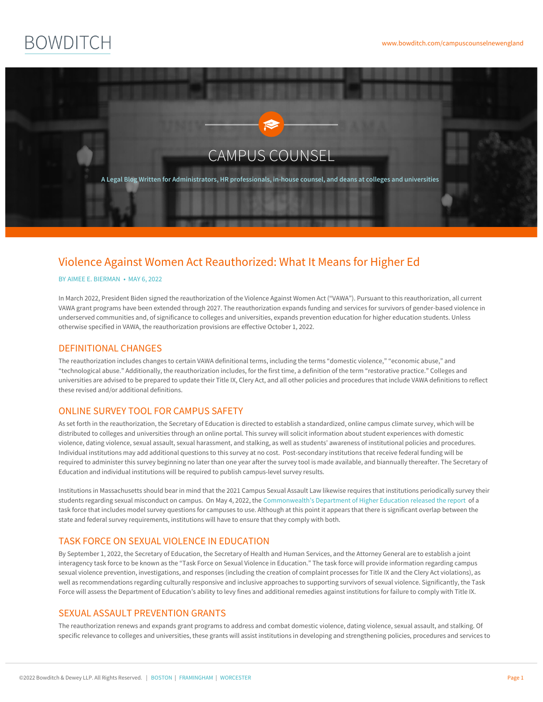# **BOWDITCH**



## Violence Against Women Act Reauthorized: What It Means for Higher Ed

#### BY AIMEE E. [BIERMAN](https://www.bowditch.com/attorney/aimee-e-bierman) • MAY 6, 2022

In March 2022, President Biden signed the reauthorization of the Violence Against Women Act ("VAWA"). Pursuant to this reauthorization, all current VAWA grant programs have been extended through 2027. The reauthorization expands funding and services for survivors of gender-based violence in underserved communities and, of significance to colleges and universities, expands prevention education for higher education students. Unless otherwise specified in VAWA, the reauthorization provisions are effective October 1, 2022.

#### DEFINITIONAL CHANGES

The reauthorization includes changes to certain VAWA definitional terms, including the terms "domestic violence," "economic abuse," and "technological abuse." Additionally, the reauthorization includes, for the first time, a definition of the term "restorative practice." Colleges and universities are advised to be prepared to update their Title IX, Clery Act, and all other policies and procedures that include VAWA definitions to reflect these revised and/or additional definitions.

#### ONLINE SURVEY TOOL FOR CAMPUS SAFETY

As set forth in the reauthorization, the Secretary of Education is directed to establish a standardized, online campus climate survey, which will be distributed to colleges and universities through an online portal. This survey will solicit information about student experiences with domestic violence, dating violence, sexual assault, sexual harassment, and stalking, as well as students' awareness of institutional policies and procedures. Individual institutions may add additional questions to this survey at no cost. Post-secondary institutions that receive federal funding will be required to administer this survey beginning no later than one year after the survey tool is made available, and biannually thereafter. The Secretary of Education and individual institutions will be required to publish campus-level survey results.

Institutions in Massachusetts should bear in mind that the 2021 Campus Sexual Assault Law likewise requires that institutions periodically survey their students regarding sexual misconduct on campus. On May 4, 2022, the [Commonwealth's](https://www.mass.edu/strategic/documents/Task Force on Sexual Misconduct Surveys Final Report and Recommendations.pdf) Department of Higher Education released the report of a task force that includes model survey questions for campuses to use. Although at this point it appears that there is significant overlap between the state and federal survey requirements, institutions will have to ensure that they comply with both.

#### TASK FORCE ON SEXUAL VIOLENCE IN EDUCATION

By September 1, 2022, the Secretary of Education, the Secretary of Health and Human Services, and the Attorney General are to establish a joint interagency task force to be known as the "Task Force on Sexual Violence in Education." The task force will provide information regarding campus sexual violence prevention, investigations, and responses (including the creation of complaint processes for Title IX and the Clery Act violations), as well as recommendations regarding culturally responsive and inclusive approaches to supporting survivors of sexual violence. Significantly, the Task Force will assess the Department of Education's ability to levy fines and additional remedies against institutions for failure to comply with Title IX.

### SEXUAL ASSAULT PRE[VENT](https://www.bowditch.com/?p=174)ION [GRAN](https://www.bowditch.com/?p=176)[TS](https://www.bowditch.com/?p=175)

The reauthorization renews and expands grant programs to address and combat domestic violence, dating violence, sexual assault, and stalking. Of specific relevance to colleges and universities, these grants will assist institutions in developing and strengthening policies, procedures and services to